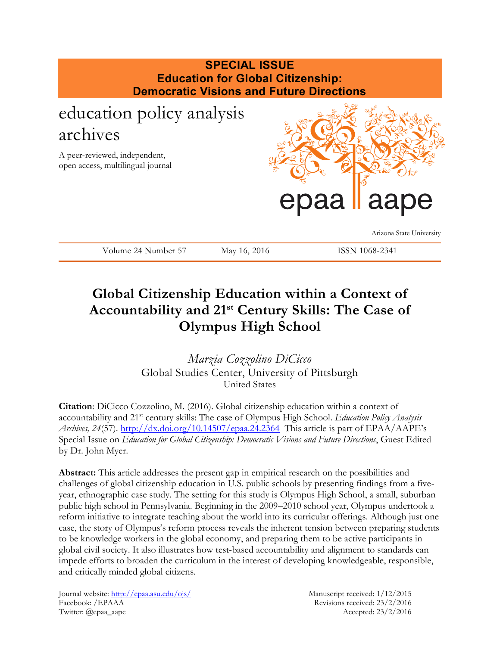

## **Global Citizenship Education within a Context of Accountability and 21st Century Skills: The Case of Olympus High School**

*Marzia Cozzolino DiCicco* Global Studies Center, University of Pittsburgh United States

**Citation**: DiCicco Cozzolino, M. (2016). Global citizenship education within a context of accountability and 21st century skills: The case of Olympus High School. *Education Policy Analysis Archives, 24*(57).<http://dx.doi.org/10.14507/epaa.24.2364> This article is part of EPAA/AAPE's Special Issue on *Education for Global Citizenship: Democratic Visions and Future Directions*, Guest Edited by Dr. John Myer.

**Abstract:** This article addresses the present gap in empirical research on the possibilities and challenges of global citizenship education in U.S. public schools by presenting findings from a fiveyear, ethnographic case study. The setting for this study is Olympus High School, a small, suburban public high school in Pennsylvania. Beginning in the 2009–2010 school year, Olympus undertook a reform initiative to integrate teaching about the world into its curricular offerings. Although just one case, the story of Olympus's reform process reveals the inherent tension between preparing students to be knowledge workers in the global economy, and preparing them to be active participants in global civil society. It also illustrates how test-based accountability and alignment to standards can impede efforts to broaden the curriculum in the interest of developing knowledgeable, responsible, and critically minded global citizens.

Journal website:<http://epaa.asu.edu/ojs/> Manuscript received: 1/12/2015 Facebook: /EPAAA Revisions received: 23/2/2016 Twitter: @epaa\_aape Accepted: 23/2/2016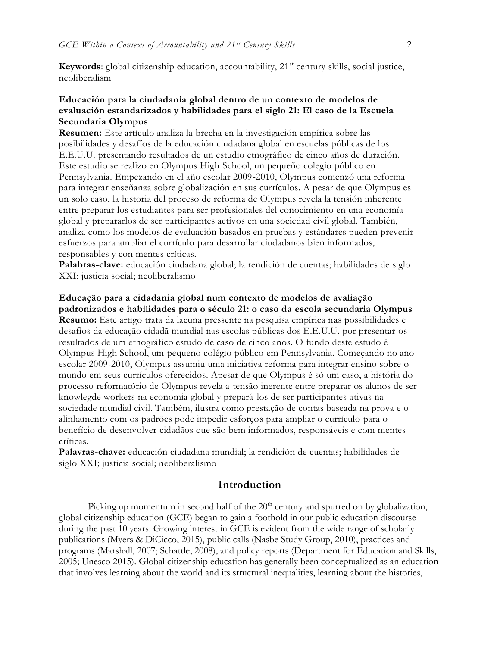**Keywords**: global citizenship education, accountability, 21<sup>st</sup> century skills, social justice, neoliberalism

## **Educación para la ciudadanía global dentro de un contexto de modelos de evaluación estandarizados y habilidades para el siglo 21: El caso de la Escuela Secundaria Olympus**

**Resumen:** Este artículo analiza la brecha en la investigación empírica sobre las posibilidades y desafíos de la educación ciudadana global en escuelas públicas de los E.E.U.U. presentando resultados de un estudio etnográfico de cinco años de duración. Este estudio se realizo en Olympus High School, un pequeño colegio público en Pennsylvania. Empezando en el año escolar 2009-2010, Olympus comenzó una reforma para integrar enseñanza sobre globalización en sus currículos. A pesar de que Olympus es un solo caso, la historia del proceso de reforma de Olympus revela la tensión inherente entre preparar los estudiantes para ser profesionales del conocimiento en una economía global y prepararlos de ser participantes activos en una sociedad civil global. También, analiza como los modelos de evaluación basados en pruebas y estándares pueden prevenir esfuerzos para ampliar el currículo para desarrollar ciudadanos bien informados, responsables y con mentes críticas.

**Palabras-clave:** educación ciudadana global; la rendición de cuentas; habilidades de siglo XXI; justicia social; neoliberalismo

**Educação para a cidadania global num contexto de modelos de avaliação padronizados e habilidades para o século 21: o caso da escola secundaria Olympus Resumo:** Este artigo trata da lacuna pressente na pesquisa empírica nas possibilidades e desafios da educação cidadã mundial nas escolas públicas dos E.E.U.U. por presentar os resultados de um etnográfico estudo de caso de cinco anos. O fundo deste estudo é Olympus High School, um pequeno colégio público em Pennsylvania. Começando no ano escolar 2009-2010, Olympus assumiu uma iniciativa reforma para integrar ensino sobre o mundo em seus currículos oferecidos. Apesar de que Olympus é só um caso, a história do processo reformatório de Olympus revela a tensão inerente entre preparar os alunos de ser knowlegde workers na economia global y prepará-los de ser participantes ativas na sociedade mundial civil. Também, ilustra como prestação de contas baseada na prova e o alinhamento com os padrões pode impedir esforços para ampliar o currículo para o benefício de desenvolver cidadãos que são bem informados, responsáveis e com mentes críticas.

**Palavras-chave:** educación ciudadana mundial; la rendición de cuentas; habilidades de siglo XXI; justicia social; neoliberalismo

## **Introduction**

Picking up momentum in second half of the  $20<sup>th</sup>$  century and spurred on by globalization, global citizenship education (GCE) began to gain a foothold in our public education discourse during the past 10 years. Growing interest in GCE is evident from the wide range of scholarly publications (Myers & DiCicco, 2015), public calls (Nasbe Study Group, 2010), practices and programs (Marshall, 2007; Schattle, 2008), and policy reports (Department for Education and Skills, 2005; Unesco 2015). Global citizenship education has generally been conceptualized as an education that involves learning about the world and its structural inequalities, learning about the histories,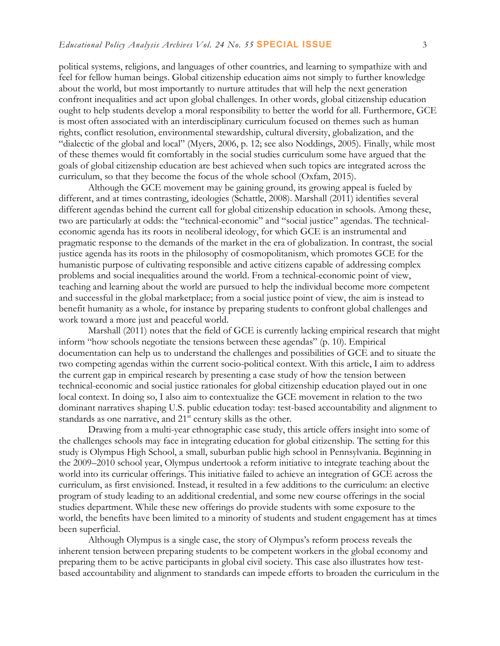political systems, religions, and languages of other countries, and learning to sympathize with and feel for fellow human beings. Global citizenship education aims not simply to further knowledge about the world, but most importantly to nurture attitudes that will help the next generation confront inequalities and act upon global challenges. In other words, global citizenship education ought to help students develop a moral responsibility to better the world for all. Furthermore, GCE is most often associated with an interdisciplinary curriculum focused on themes such as human rights, conflict resolution, environmental stewardship, cultural diversity, globalization, and the "dialectic of the global and local" (Myers, 2006, p. 12; see also Noddings, 2005). Finally, while most of these themes would fit comfortably in the social studies curriculum some have argued that the goals of global citizenship education are best achieved when such topics are integrated across the curriculum, so that they become the focus of the whole school (Oxfam, 2015).

Although the GCE movement may be gaining ground, its growing appeal is fueled by different, and at times contrasting, ideologies (Schattle, 2008). Marshall (2011) identifies several different agendas behind the current call for global citizenship education in schools. Among these, two are particularly at odds: the "technical-economic" and "social justice" agendas. The technicaleconomic agenda has its roots in neoliberal ideology, for which GCE is an instrumental and pragmatic response to the demands of the market in the era of globalization. In contrast, the social justice agenda has its roots in the philosophy of cosmopolitanism, which promotes GCE for the humanistic purpose of cultivating responsible and active citizens capable of addressing complex problems and social inequalities around the world. From a technical-economic point of view, teaching and learning about the world are pursued to help the individual become more competent and successful in the global marketplace; from a social justice point of view, the aim is instead to benefit humanity as a whole, for instance by preparing students to confront global challenges and work toward a more just and peaceful world.

Marshall (2011) notes that the field of GCE is currently lacking empirical research that might inform "how schools negotiate the tensions between these agendas" (p. 10). Empirical documentation can help us to understand the challenges and possibilities of GCE and to situate the two competing agendas within the current socio-political context. With this article, I aim to address the current gap in empirical research by presenting a case study of how the tension between technical-economic and social justice rationales for global citizenship education played out in one local context. In doing so, I also aim to contextualize the GCE movement in relation to the two dominant narratives shaping U.S. public education today: test-based accountability and alignment to standards as one narrative, and 21<sup>st</sup> century skills as the other.

Drawing from a multi-year ethnographic case study, this article offers insight into some of the challenges schools may face in integrating education for global citizenship. The setting for this study is Olympus High School, a small, suburban public high school in Pennsylvania. Beginning in the 2009–2010 school year, Olympus undertook a reform initiative to integrate teaching about the world into its curricular offerings. This initiative failed to achieve an integration of GCE across the curriculum, as first envisioned. Instead, it resulted in a few additions to the curriculum: an elective program of study leading to an additional credential, and some new course offerings in the social studies department. While these new offerings do provide students with some exposure to the world, the benefits have been limited to a minority of students and student engagement has at times been superficial.

Although Olympus is a single case, the story of Olympus's reform process reveals the inherent tension between preparing students to be competent workers in the global economy and preparing them to be active participants in global civil society. This case also illustrates how testbased accountability and alignment to standards can impede efforts to broaden the curriculum in the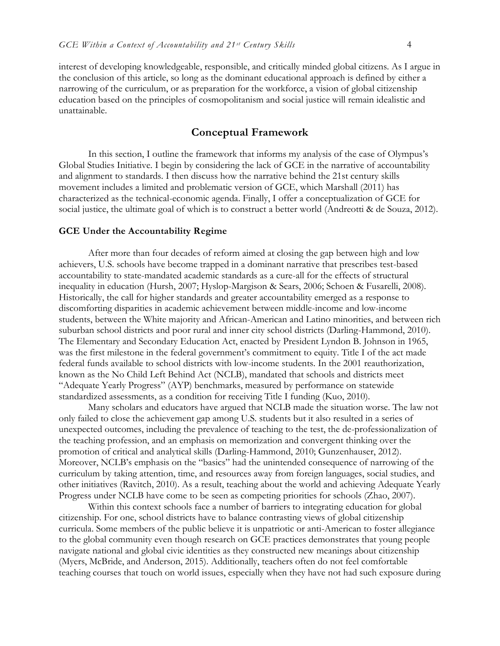interest of developing knowledgeable, responsible, and critically minded global citizens. As I argue in the conclusion of this article, so long as the dominant educational approach is defined by either a narrowing of the curriculum, or as preparation for the workforce, a vision of global citizenship education based on the principles of cosmopolitanism and social justice will remain idealistic and unattainable.

## **Conceptual Framework**

In this section, I outline the framework that informs my analysis of the case of Olympus's Global Studies Initiative. I begin by considering the lack of GCE in the narrative of accountability and alignment to standards. I then discuss how the narrative behind the 21st century skills movement includes a limited and problematic version of GCE, which Marshall (2011) has characterized as the technical-economic agenda. Finally, I offer a conceptualization of GCE for social justice, the ultimate goal of which is to construct a better world (Andreotti & de Souza, 2012).

#### **GCE Under the Accountability Regime**

After more than four decades of reform aimed at closing the gap between high and low achievers, U.S. schools have become trapped in a dominant narrative that prescribes test-based accountability to state-mandated academic standards as a cure-all for the effects of structural inequality in education (Hursh, 2007; Hyslop-Margison & Sears, 2006; Schoen & Fusarelli, 2008). Historically, the call for higher standards and greater accountability emerged as a response to discomforting disparities in academic achievement between middle-income and low-income students, between the White majority and African-American and Latino minorities, and between rich suburban school districts and poor rural and inner city school districts (Darling-Hammond, 2010). The Elementary and Secondary Education Act, enacted by President Lyndon B. Johnson in 1965, was the first milestone in the federal government's commitment to equity. Title I of the act made federal funds available to school districts with low-income students. In the 2001 reauthorization, known as the No Child Left Behind Act (NCLB), mandated that schools and districts meet "Adequate Yearly Progress" (AYP) benchmarks, measured by performance on statewide standardized assessments, as a condition for receiving Title I funding (Kuo, 2010).

Many scholars and educators have argued that NCLB made the situation worse. The law not only failed to close the achievement gap among U.S. students but it also resulted in a series of unexpected outcomes, including the prevalence of teaching to the test, the de-professionalization of the teaching profession, and an emphasis on memorization and convergent thinking over the promotion of critical and analytical skills (Darling-Hammond, 2010; Gunzenhauser, 2012). Moreover, NCLB's emphasis on the "basics" had the unintended consequence of narrowing of the curriculum by taking attention, time, and resources away from foreign languages, social studies, and other initiatives (Ravitch, 2010). As a result, teaching about the world and achieving Adequate Yearly Progress under NCLB have come to be seen as competing priorities for schools (Zhao, 2007).

Within this context schools face a number of barriers to integrating education for global citizenship. For one, school districts have to balance contrasting views of global citizenship curricula. Some members of the public believe it is unpatriotic or anti-American to foster allegiance to the global community even though research on GCE practices demonstrates that young people navigate national and global civic identities as they constructed new meanings about citizenship (Myers, McBride, and Anderson, 2015). Additionally, teachers often do not feel comfortable teaching courses that touch on world issues, especially when they have not had such exposure during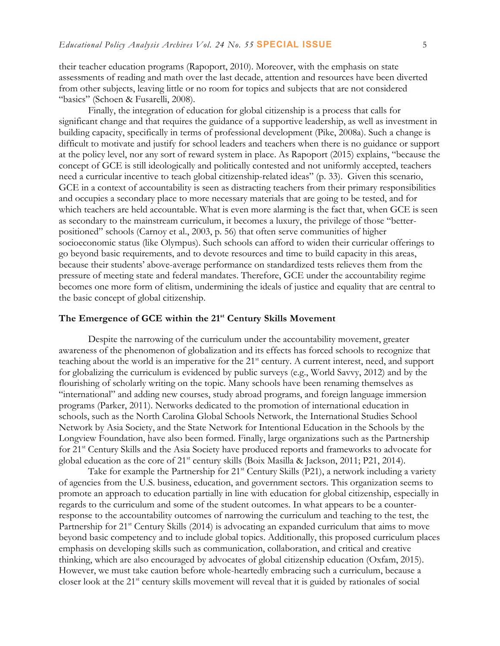their teacher education programs (Rapoport, 2010). Moreover, with the emphasis on state assessments of reading and math over the last decade, attention and resources have been diverted from other subjects, leaving little or no room for topics and subjects that are not considered "basics" (Schoen & Fusarelli, 2008).

Finally, the integration of education for global citizenship is a process that calls for significant change and that requires the guidance of a supportive leadership, as well as investment in building capacity, specifically in terms of professional development (Pike, 2008a). Such a change is difficult to motivate and justify for school leaders and teachers when there is no guidance or support at the policy level, nor any sort of reward system in place. As Rapoport (2015) explains, "because the concept of GCE is still ideologically and politically contested and not uniformly accepted, teachers need a curricular incentive to teach global citizenship-related ideas" (p. 33). Given this scenario, GCE in a context of accountability is seen as distracting teachers from their primary responsibilities and occupies a secondary place to more necessary materials that are going to be tested, and for which teachers are held accountable. What is even more alarming is the fact that, when GCE is seen as secondary to the mainstream curriculum, it becomes a luxury, the privilege of those "betterpositioned" schools (Carnoy et al., 2003, p. 56) that often serve communities of higher socioeconomic status (like Olympus). Such schools can afford to widen their curricular offerings to go beyond basic requirements, and to devote resources and time to build capacity in this areas, because their students' above-average performance on standardized tests relieves them from the pressure of meeting state and federal mandates. Therefore, GCE under the accountability regime becomes one more form of elitism, undermining the ideals of justice and equality that are central to the basic concept of global citizenship.

#### **The Emergence of GCE within the 21st Century Skills Movement**

Despite the narrowing of the curriculum under the accountability movement, greater awareness of the phenomenon of globalization and its effects has forced schools to recognize that teaching about the world is an imperative for the 21<sup>st</sup> century. A current interest, need, and support for globalizing the curriculum is evidenced by public surveys (e.g., World Savvy, 2012) and by the flourishing of scholarly writing on the topic. Many schools have been renaming themselves as "international" and adding new courses, study abroad programs, and foreign language immersion programs (Parker, 2011). Networks dedicated to the promotion of international education in schools, such as the North Carolina Global Schools Network, the International Studies School Network by Asia Society, and the State Network for Intentional Education in the Schools by the Longview Foundation, have also been formed. Finally, large organizations such as the Partnership for 21st Century Skills and the Asia Society have produced reports and frameworks to advocate for global education as the core of 21<sup>st</sup> century skills (Boix Masilla & Jackson, 2011; P21, 2014).

Take for example the Partnership for 21<sup>st</sup> Century Skills (P21), a network including a variety of agencies from the U.S. business, education, and government sectors. This organization seems to promote an approach to education partially in line with education for global citizenship, especially in regards to the curriculum and some of the student outcomes. In what appears to be a counterresponse to the accountability outcomes of narrowing the curriculum and teaching to the test, the Partnership for 21<sup>st</sup> Century Skills (2014) is advocating an expanded curriculum that aims to move beyond basic competency and to include global topics. Additionally, this proposed curriculum places emphasis on developing skills such as communication, collaboration, and critical and creative thinking, which are also encouraged by advocates of global citizenship education (Oxfam, 2015). However, we must take caution before whole-heartedly embracing such a curriculum, because a closer look at the 21<sup>st</sup> century skills movement will reveal that it is guided by rationales of social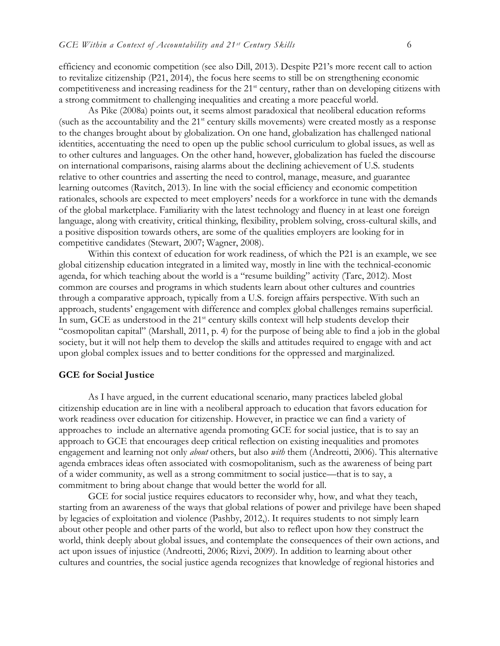efficiency and economic competition (see also Dill, 2013). Despite P21's more recent call to action to revitalize citizenship (P21, 2014), the focus here seems to still be on strengthening economic competitiveness and increasing readiness for the 21<sup>st</sup> century, rather than on developing citizens with a strong commitment to challenging inequalities and creating a more peaceful world.

As Pike (2008a) points out, it seems almost paradoxical that neoliberal education reforms (such as the accountability and the 21<sup>st</sup> century skills movements) were created mostly as a response to the changes brought about by globalization. On one hand, globalization has challenged national identities, accentuating the need to open up the public school curriculum to global issues, as well as to other cultures and languages. On the other hand, however, globalization has fueled the discourse on international comparisons, raising alarms about the declining achievement of U.S. students relative to other countries and asserting the need to control, manage, measure, and guarantee learning outcomes (Ravitch, 2013). In line with the social efficiency and economic competition rationales, schools are expected to meet employers' needs for a workforce in tune with the demands of the global marketplace. Familiarity with the latest technology and fluency in at least one foreign language, along with creativity, critical thinking, flexibility, problem solving, cross-cultural skills, and a positive disposition towards others, are some of the qualities employers are looking for in competitive candidates (Stewart, 2007; Wagner, 2008).

Within this context of education for work readiness, of which the P21 is an example, we see global citizenship education integrated in a limited way, mostly in line with the technical-economic agenda, for which teaching about the world is a "resume building" activity (Tarc, 2012). Most common are courses and programs in which students learn about other cultures and countries through a comparative approach, typically from a U.S. foreign affairs perspective. With such an approach, students' engagement with difference and complex global challenges remains superficial. In sum, GCE as understood in the  $21<sup>st</sup>$  century skills context will help students develop their "cosmopolitan capital" (Marshall, 2011, p. 4) for the purpose of being able to find a job in the global society, but it will not help them to develop the skills and attitudes required to engage with and act upon global complex issues and to better conditions for the oppressed and marginalized.

#### **GCE for Social Justice**

As I have argued, in the current educational scenario, many practices labeled global citizenship education are in line with a neoliberal approach to education that favors education for work readiness over education for citizenship. However, in practice we can find a variety of approaches to include an alternative agenda promoting GCE for social justice, that is to say an approach to GCE that encourages deep critical reflection on existing inequalities and promotes engagement and learning not only *about* others, but also *with* them (Andreotti, 2006). This alternative agenda embraces ideas often associated with cosmopolitanism, such as the awareness of being part of a wider community, as well as a strong commitment to social justice—that is to say, a commitment to bring about change that would better the world for all.

GCE for social justice requires educators to reconsider why, how, and what they teach, starting from an awareness of the ways that global relations of power and privilege have been shaped by legacies of exploitation and violence (Pashby, 2012,). It requires students to not simply learn about other people and other parts of the world, but also to reflect upon how they construct the world, think deeply about global issues, and contemplate the consequences of their own actions, and act upon issues of injustice (Andreotti, 2006; Rizvi, 2009). In addition to learning about other cultures and countries, the social justice agenda recognizes that knowledge of regional histories and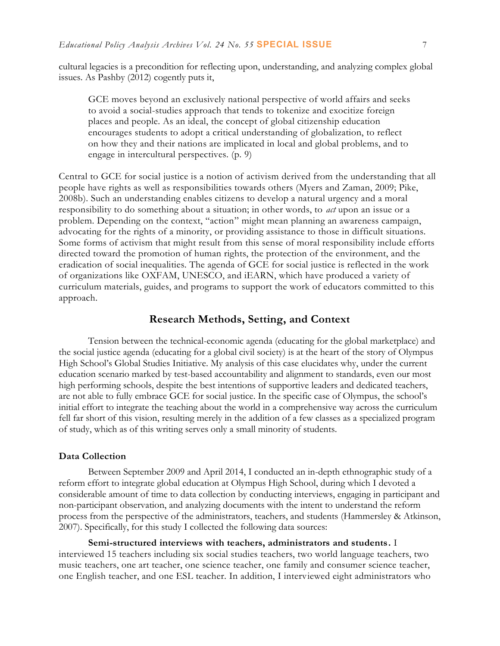cultural legacies is a precondition for reflecting upon, understanding, and analyzing complex global issues. As Pashby (2012) cogently puts it,

GCE moves beyond an exclusively national perspective of world affairs and seeks to avoid a social-studies approach that tends to tokenize and exocitize foreign places and people. As an ideal, the concept of global citizenship education encourages students to adopt a critical understanding of globalization, to reflect on how they and their nations are implicated in local and global problems, and to engage in intercultural perspectives. (p. 9)

Central to GCE for social justice is a notion of activism derived from the understanding that all people have rights as well as responsibilities towards others (Myers and Zaman, 2009; Pike, 2008b). Such an understanding enables citizens to develop a natural urgency and a moral responsibility to do something about a situation; in other words, to *act* upon an issue or a problem. Depending on the context, "action" might mean planning an awareness campaign, advocating for the rights of a minority, or providing assistance to those in difficult situations. Some forms of activism that might result from this sense of moral responsibility include efforts directed toward the promotion of human rights, the protection of the environment, and the eradication of social inequalities. The agenda of GCE for social justice is reflected in the work of organizations like OXFAM, UNESCO, and iEARN, which have produced a variety of curriculum materials, guides, and programs to support the work of educators committed to this approach.

## **Research Methods, Setting, and Context**

Tension between the technical-economic agenda (educating for the global marketplace) and the social justice agenda (educating for a global civil society) is at the heart of the story of Olympus High School's Global Studies Initiative. My analysis of this case elucidates why, under the current education scenario marked by test-based accountability and alignment to standards, even our most high performing schools, despite the best intentions of supportive leaders and dedicated teachers, are not able to fully embrace GCE for social justice. In the specific case of Olympus, the school's initial effort to integrate the teaching about the world in a comprehensive way across the curriculum fell far short of this vision, resulting merely in the addition of a few classes as a specialized program of study, which as of this writing serves only a small minority of students.

#### **Data Collection**

Between September 2009 and April 2014, I conducted an in-depth ethnographic study of a reform effort to integrate global education at Olympus High School, during which I devoted a considerable amount of time to data collection by conducting interviews, engaging in participant and non-participant observation, and analyzing documents with the intent to understand the reform process from the perspective of the administrators, teachers, and students (Hammersley & Atkinson, 2007). Specifically, for this study I collected the following data sources:

**Semi-structured interviews with teachers, administrators and students.** I interviewed 15 teachers including six social studies teachers, two world language teachers, two music teachers, one art teacher, one science teacher, one family and consumer science teacher, one English teacher, and one ESL teacher. In addition, I interviewed eight administrators who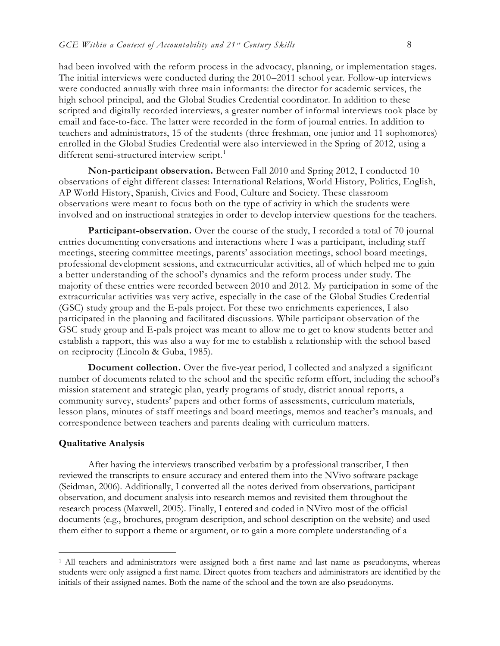had been involved with the reform process in the advocacy, planning, or implementation stages. The initial interviews were conducted during the 2010–2011 school year. Follow-up interviews were conducted annually with three main informants: the director for academic services, the high school principal, and the Global Studies Credential coordinator. In addition to these scripted and digitally recorded interviews, a greater number of informal interviews took place by email and face-to-face. The latter were recorded in the form of journal entries. In addition to teachers and administrators, 15 of the students (three freshman, one junior and 11 sophomores) enrolled in the Global Studies Credential were also interviewed in the Spring of 2012, using a different semi-structured interview script.<sup>1</sup>

**Non-participant observation.** Between Fall 2010 and Spring 2012, I conducted 10 observations of eight different classes: International Relations, World History, Politics, English, AP World History, Spanish, Civics and Food, Culture and Society. These classroom observations were meant to focus both on the type of activity in which the students were involved and on instructional strategies in order to develop interview questions for the teachers.

**Participant-observation.** Over the course of the study, I recorded a total of 70 journal entries documenting conversations and interactions where I was a participant, including staff meetings, steering committee meetings, parents' association meetings, school board meetings, professional development sessions, and extracurricular activities, all of which helped me to gain a better understanding of the school's dynamics and the reform process under study. The majority of these entries were recorded between 2010 and 2012. My participation in some of the extracurricular activities was very active, especially in the case of the Global Studies Credential (GSC) study group and the E-pals project. For these two enrichments experiences, I also participated in the planning and facilitated discussions. While participant observation of the GSC study group and E-pals project was meant to allow me to get to know students better and establish a rapport, this was also a way for me to establish a relationship with the school based on reciprocity (Lincoln & Guba, 1985).

**Document collection.** Over the five-year period, I collected and analyzed a significant number of documents related to the school and the specific reform effort, including the school's mission statement and strategic plan, yearly programs of study, district annual reports, a community survey, students' papers and other forms of assessments, curriculum materials, lesson plans, minutes of staff meetings and board meetings, memos and teacher's manuals, and correspondence between teachers and parents dealing with curriculum matters.

#### **Qualitative Analysis**

 $\overline{a}$ 

After having the interviews transcribed verbatim by a professional transcriber, I then reviewed the transcripts to ensure accuracy and entered them into the NVivo software package (Seidman, 2006). Additionally, I converted all the notes derived from observations, participant observation, and document analysis into research memos and revisited them throughout the research process (Maxwell, 2005). Finally, I entered and coded in NVivo most of the official documents (e.g., brochures, program description, and school description on the website) and used them either to support a theme or argument, or to gain a more complete understanding of a

<sup>1</sup> All teachers and administrators were assigned both a first name and last name as pseudonyms, whereas students were only assigned a first name. Direct quotes from teachers and administrators are identified by the initials of their assigned names. Both the name of the school and the town are also pseudonyms.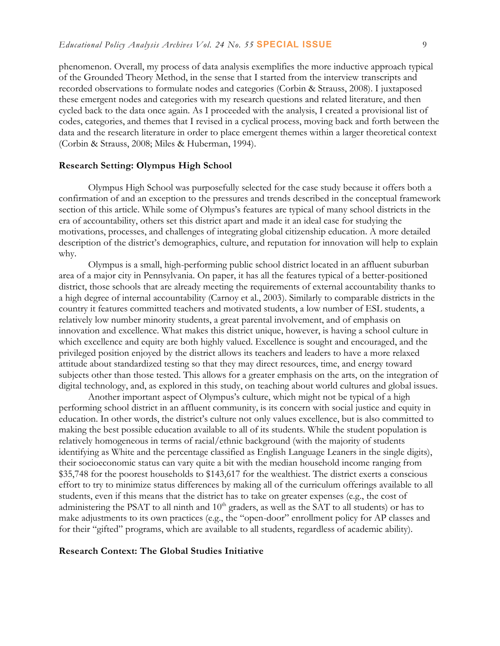phenomenon. Overall, my process of data analysis exemplifies the more inductive approach typical of the Grounded Theory Method, in the sense that I started from the interview transcripts and recorded observations to formulate nodes and categories (Corbin & Strauss, 2008). I juxtaposed these emergent nodes and categories with my research questions and related literature, and then cycled back to the data once again. As I proceeded with the analysis, I created a provisional list of codes, categories, and themes that I revised in a cyclical process, moving back and forth between the data and the research literature in order to place emergent themes within a larger theoretical context (Corbin & Strauss, 2008; Miles & Huberman, 1994).

#### **Research Setting: Olympus High School**

Olympus High School was purposefully selected for the case study because it offers both a confirmation of and an exception to the pressures and trends described in the conceptual framework section of this article. While some of Olympus's features are typical of many school districts in the era of accountability, others set this district apart and made it an ideal case for studying the motivations, processes, and challenges of integrating global citizenship education. A more detailed description of the district's demographics, culture, and reputation for innovation will help to explain why.

Olympus is a small, high-performing public school district located in an affluent suburban area of a major city in Pennsylvania. On paper, it has all the features typical of a better-positioned district, those schools that are already meeting the requirements of external accountability thanks to a high degree of internal accountability (Carnoy et al., 2003). Similarly to comparable districts in the country it features committed teachers and motivated students, a low number of ESL students, a relatively low number minority students, a great parental involvement, and of emphasis on innovation and excellence. What makes this district unique, however, is having a school culture in which excellence and equity are both highly valued. Excellence is sought and encouraged, and the privileged position enjoyed by the district allows its teachers and leaders to have a more relaxed attitude about standardized testing so that they may direct resources, time, and energy toward subjects other than those tested. This allows for a greater emphasis on the arts, on the integration of digital technology, and, as explored in this study, on teaching about world cultures and global issues.

Another important aspect of Olympus's culture, which might not be typical of a high performing school district in an affluent community, is its concern with social justice and equity in education. In other words, the district's culture not only values excellence, but is also committed to making the best possible education available to all of its students. While the student population is relatively homogeneous in terms of racial/ethnic background (with the majority of students identifying as White and the percentage classified as English Language Leaners in the single digits), their socioeconomic status can vary quite a bit with the median household income ranging from \$35,748 for the poorest households to \$143,617 for the wealthiest. The district exerts a conscious effort to try to minimize status differences by making all of the curriculum offerings available to all students, even if this means that the district has to take on greater expenses (e.g., the cost of administering the PSAT to all ninth and 10<sup>th</sup> graders, as well as the SAT to all students) or has to make adjustments to its own practices (e.g., the "open-door" enrollment policy for AP classes and for their "gifted" programs, which are available to all students, regardless of academic ability).

#### **Research Context: The Global Studies Initiative**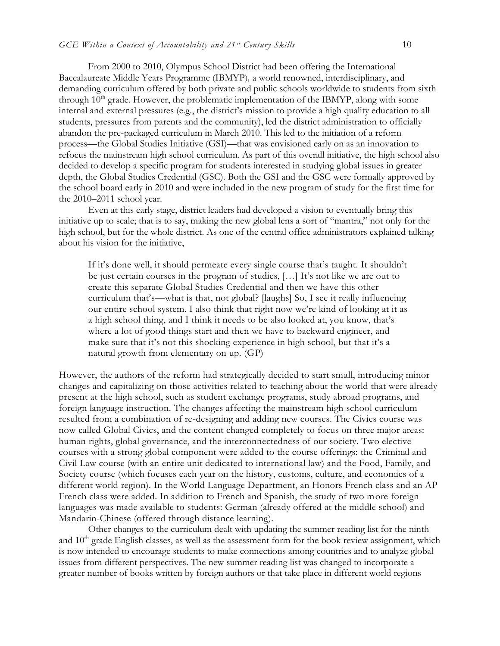From 2000 to 2010, Olympus School District had been offering the International Baccalaureate Middle Years Programme (IBMYP)*,* a world renowned, interdisciplinary, and demanding curriculum offered by both private and public schools worldwide to students from sixth through  $10<sup>th</sup>$  grade. However, the problematic implementation of the IBMYP, along with some internal and external pressures (e.g., the district's mission to provide a high quality education to all students, pressures from parents and the community), led the district administration to officially abandon the pre-packaged curriculum in March 2010. This led to the initiation of a reform process—the Global Studies Initiative (GSI)—that was envisioned early on as an innovation to refocus the mainstream high school curriculum. As part of this overall initiative, the high school also decided to develop a specific program for students interested in studying global issues in greater depth, the Global Studies Credential (GSC). Both the GSI and the GSC were formally approved by the school board early in 2010 and were included in the new program of study for the first time for the 2010–2011 school year.

Even at this early stage, district leaders had developed a vision to eventually bring this initiative up to scale; that is to say, making the new global lens a sort of "mantra," not only for the high school, but for the whole district. As one of the central office administrators explained talking about his vision for the initiative,

If it's done well, it should permeate every single course that's taught. It shouldn't be just certain courses in the program of studies, […] It's not like we are out to create this separate Global Studies Credential and then we have this other curriculum that's—what is that, not global? [laughs] So, I see it really influencing our entire school system. I also think that right now we're kind of looking at it as a high school thing, and I think it needs to be also looked at, you know, that's where a lot of good things start and then we have to backward engineer, and make sure that it's not this shocking experience in high school, but that it's a natural growth from elementary on up. (GP)

However, the authors of the reform had strategically decided to start small, introducing minor changes and capitalizing on those activities related to teaching about the world that were already present at the high school, such as student exchange programs, study abroad programs, and foreign language instruction. The changes affecting the mainstream high school curriculum resulted from a combination of re-designing and adding new courses. The Civics course was now called Global Civics, and the content changed completely to focus on three major areas: human rights, global governance, and the interconnectedness of our society. Two elective courses with a strong global component were added to the course offerings: the Criminal and Civil Law course (with an entire unit dedicated to international law) and the Food, Family, and Society course (which focuses each year on the history, customs, culture, and economics of a different world region). In the World Language Department, an Honors French class and an AP French class were added. In addition to French and Spanish, the study of two more foreign languages was made available to students: German (already offered at the middle school) and Mandarin-Chinese (offered through distance learning).

Other changes to the curriculum dealt with updating the summer reading list for the ninth and  $10<sup>th</sup>$  grade English classes, as well as the assessment form for the book review assignment, which is now intended to encourage students to make connections among countries and to analyze global issues from different perspectives. The new summer reading list was changed to incorporate a greater number of books written by foreign authors or that take place in different world regions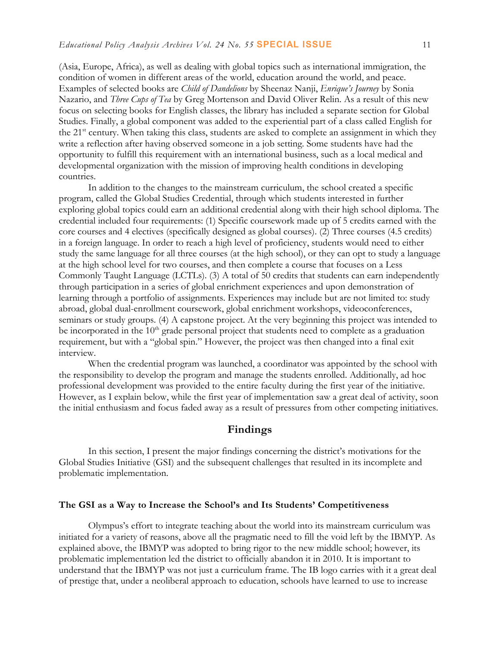(Asia, Europe, Africa), as well as dealing with global topics such as international immigration, the condition of women in different areas of the world, education around the world, and peace. Examples of selected books are *Child of Dandelions* by Sheenaz Nanji, *Enrique's Journey* by Sonia Nazario, and *Three Cups of Tea* by Greg Mortenson and David Oliver Relin. As a result of this new focus on selecting books for English classes, the library has included a separate section for Global Studies. Finally, a global component was added to the experiential part of a class called English for the 21<sup>st</sup> century. When taking this class, students are asked to complete an assignment in which they write a reflection after having observed someone in a job setting. Some students have had the opportunity to fulfill this requirement with an international business, such as a local medical and developmental organization with the mission of improving health conditions in developing countries.

In addition to the changes to the mainstream curriculum, the school created a specific program, called the Global Studies Credential, through which students interested in further exploring global topics could earn an additional credential along with their high school diploma. The credential included four requirements: (1) Specific coursework made up of 5 credits earned with the core courses and 4 electives (specifically designed as global courses). (2) Three courses (4.5 credits) in a foreign language. In order to reach a high level of proficiency, students would need to either study the same language for all three courses (at the high school), or they can opt to study a language at the high school level for two courses, and then complete a course that focuses on a Less Commonly Taught Language (LCTLs). (3) A total of 50 credits that students can earn independently through participation in a series of global enrichment experiences and upon demonstration of learning through a portfolio of assignments. Experiences may include but are not limited to: study abroad, global dual-enrollment coursework, global enrichment workshops, videoconferences, seminars or study groups. (4) A capstone project. At the very beginning this project was intended to be incorporated in the  $10<sup>th</sup>$  grade personal project that students need to complete as a graduation requirement, but with a "global spin." However, the project was then changed into a final exit interview.

When the credential program was launched, a coordinator was appointed by the school with the responsibility to develop the program and manage the students enrolled. Additionally, ad hoc professional development was provided to the entire faculty during the first year of the initiative. However, as I explain below, while the first year of implementation saw a great deal of activity, soon the initial enthusiasm and focus faded away as a result of pressures from other competing initiatives.

## **Findings**

In this section, I present the major findings concerning the district's motivations for the Global Studies Initiative (GSI) and the subsequent challenges that resulted in its incomplete and problematic implementation.

#### **The GSI as a Way to Increase the School's and Its Students' Competitiveness**

Olympus's effort to integrate teaching about the world into its mainstream curriculum was initiated for a variety of reasons, above all the pragmatic need to fill the void left by the IBMYP. As explained above, the IBMYP was adopted to bring rigor to the new middle school; however, its problematic implementation led the district to officially abandon it in 2010. It is important to understand that the IBMYP was not just a curriculum frame. The IB logo carries with it a great deal of prestige that, under a neoliberal approach to education, schools have learned to use to increase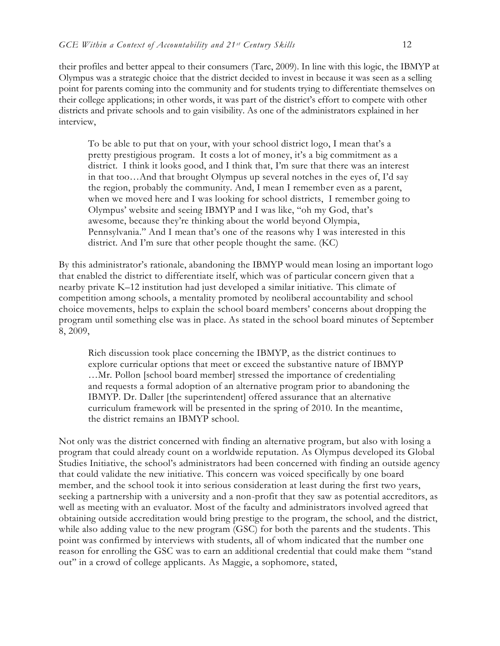their profiles and better appeal to their consumers (Tarc, 2009). In line with this logic, the IBMYP at Olympus was a strategic choice that the district decided to invest in because it was seen as a selling point for parents coming into the community and for students trying to differentiate themselves on their college applications; in other words, it was part of the district's effort to compete with other districts and private schools and to gain visibility. As one of the administrators explained in her interview,

To be able to put that on your, with your school district logo, I mean that's a pretty prestigious program. It costs a lot of money, it's a big commitment as a district. I think it looks good, and I think that, I'm sure that there was an interest in that too…And that brought Olympus up several notches in the eyes of, I'd say the region, probably the community. And, I mean I remember even as a parent, when we moved here and I was looking for school districts, I remember going to Olympus' website and seeing IBMYP and I was like, "oh my God, that's awesome, because they're thinking about the world beyond Olympia, Pennsylvania." And I mean that's one of the reasons why I was interested in this district. And I'm sure that other people thought the same. (KC)

By this administrator's rationale, abandoning the IBMYP would mean losing an important logo that enabled the district to differentiate itself, which was of particular concern given that a nearby private K–12 institution had just developed a similar initiative. This climate of competition among schools, a mentality promoted by neoliberal accountability and school choice movements, helps to explain the school board members' concerns about dropping the program until something else was in place. As stated in the school board minutes of September 8, 2009,

Rich discussion took place concerning the IBMYP, as the district continues to explore curricular options that meet or exceed the substantive nature of IBMYP …Mr. Pollon [school board member] stressed the importance of credentialing and requests a formal adoption of an alternative program prior to abandoning the IBMYP. Dr. Daller [the superintendent] offered assurance that an alternative curriculum framework will be presented in the spring of 2010. In the meantime, the district remains an IBMYP school.

Not only was the district concerned with finding an alternative program, but also with losing a program that could already count on a worldwide reputation. As Olympus developed its Global Studies Initiative, the school's administrators had been concerned with finding an outside agency that could validate the new initiative. This concern was voiced specifically by one board member, and the school took it into serious consideration at least during the first two years, seeking a partnership with a university and a non-profit that they saw as potential accreditors, as well as meeting with an evaluator. Most of the faculty and administrators involved agreed that obtaining outside accreditation would bring prestige to the program, the school, and the district, while also adding value to the new program (GSC) for both the parents and the students. This point was confirmed by interviews with students, all of whom indicated that the number one reason for enrolling the GSC was to earn an additional credential that could make them "stand out" in a crowd of college applicants. As Maggie, a sophomore, stated,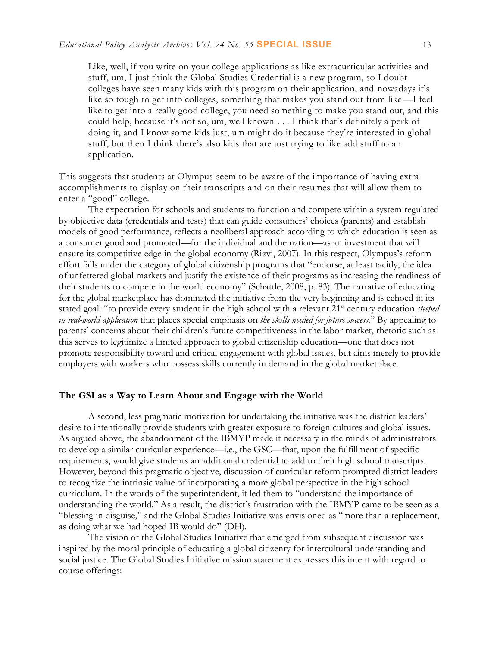Like, well, if you write on your college applications as like extracurricular activities and stuff, um, I just think the Global Studies Credential is a new program, so I doubt colleges have seen many kids with this program on their application, and nowadays it's like so tough to get into colleges, something that makes you stand out from like—I feel like to get into a really good college, you need something to make you stand out, and this could help, because it's not so, um, well known . . . I think that's definitely a perk of doing it, and I know some kids just, um might do it because they're interested in global stuff, but then I think there's also kids that are just trying to like add stuff to an application.

This suggests that students at Olympus seem to be aware of the importance of having extra accomplishments to display on their transcripts and on their resumes that will allow them to enter a "good" college.

The expectation for schools and students to function and compete within a system regulated by objective data (credentials and tests) that can guide consumers' choices (parents) and establish models of good performance, reflects a neoliberal approach according to which education is seen as a consumer good and promoted—for the individual and the nation—as an investment that will ensure its competitive edge in the global economy (Rizvi, 2007). In this respect, Olympus's reform effort falls under the category of global citizenship programs that "endorse, at least tacitly, the idea of unfettered global markets and justify the existence of their programs as increasing the readiness of their students to compete in the world economy" (Schattle, 2008, p. 83). The narrative of educating for the global marketplace has dominated the initiative from the very beginning and is echoed in its stated goal: "to provide every student in the high school with a relevant 21<sup>st</sup> century education *steeped in real-world application* that places special emphasis on *the skills needed for future success*." By appealing to parents' concerns about their children's future competitiveness in the labor market, rhetoric such as this serves to legitimize a limited approach to global citizenship education—one that does not promote responsibility toward and critical engagement with global issues, but aims merely to provide employers with workers who possess skills currently in demand in the global marketplace.

#### **The GSI as a Way to Learn About and Engage with the World**

A second, less pragmatic motivation for undertaking the initiative was the district leaders' desire to intentionally provide students with greater exposure to foreign cultures and global issues. As argued above, the abandonment of the IBMYP made it necessary in the minds of administrators to develop a similar curricular experience—i.e., the GSC—that, upon the fulfillment of specific requirements, would give students an additional credential to add to their high school transcripts. However, beyond this pragmatic objective, discussion of curricular reform prompted district leaders to recognize the intrinsic value of incorporating a more global perspective in the high school curriculum. In the words of the superintendent, it led them to "understand the importance of understanding the world." As a result, the district's frustration with the IBMYP came to be seen as a "blessing in disguise," and the Global Studies Initiative was envisioned as "more than a replacement, as doing what we had hoped IB would do" (DH).

The vision of the Global Studies Initiative that emerged from subsequent discussion was inspired by the moral principle of educating a global citizenry for intercultural understanding and social justice. The Global Studies Initiative mission statement expresses this intent with regard to course offerings: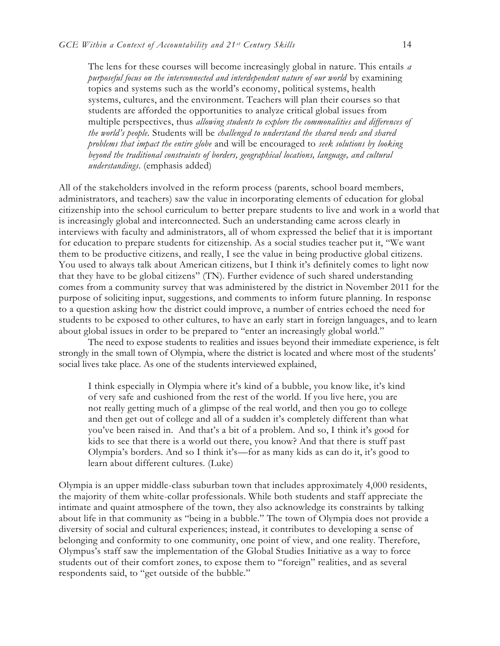The lens for these courses will become increasingly global in nature. This entails *a purposeful focus on the interconnected and interdependent nature of our world* by examining topics and systems such as the world's economy, political systems, health systems, cultures, and the environment. Teachers will plan their courses so that students are afforded the opportunities to analyze critical global issues from multiple perspectives, thus *allowing students to explore the commonalities and differences of the world's people.* Students will be *challenged to understand the shared needs and shared problems that impact the entire globe* and will be encouraged to *seek solutions by looking beyond the traditional constraints of borders, geographical locations, language, and cultural understandings*. (emphasis added)

All of the stakeholders involved in the reform process (parents, school board members, administrators, and teachers) saw the value in incorporating elements of education for global citizenship into the school curriculum to better prepare students to live and work in a world that is increasingly global and interconnected. Such an understanding came across clearly in interviews with faculty and administrators, all of whom expressed the belief that it is important for education to prepare students for citizenship. As a social studies teacher put it, "We want them to be productive citizens, and really, I see the value in being productive global citizens. You used to always talk about American citizens, but I think it's definitely comes to light now that they have to be global citizens" (TN). Further evidence of such shared understanding comes from a community survey that was administered by the district in November 2011 for the purpose of soliciting input, suggestions, and comments to inform future planning. In response to a question asking how the district could improve, a number of entries echoed the need for students to be exposed to other cultures, to have an early start in foreign languages, and to learn about global issues in order to be prepared to "enter an increasingly global world."

The need to expose students to realities and issues beyond their immediate experience, is felt strongly in the small town of Olympia, where the district is located and where most of the students' social lives take place. As one of the students interviewed explained,

I think especially in Olympia where it's kind of a bubble, you know like, it's kind of very safe and cushioned from the rest of the world. If you live here, you are not really getting much of a glimpse of the real world, and then you go to college and then get out of college and all of a sudden it's completely different than what you've been raised in. And that's a bit of a problem. And so, I think it's good for kids to see that there is a world out there, you know? And that there is stuff past Olympia's borders. And so I think it's—for as many kids as can do it, it's good to learn about different cultures. (Luke)

Olympia is an upper middle-class suburban town that includes approximately 4,000 residents, the majority of them white-collar professionals. While both students and staff appreciate the intimate and quaint atmosphere of the town, they also acknowledge its constraints by talking about life in that community as "being in a bubble." The town of Olympia does not provide a diversity of social and cultural experiences; instead, it contributes to developing a sense of belonging and conformity to one community, one point of view, and one reality. Therefore, Olympus's staff saw the implementation of the Global Studies Initiative as a way to force students out of their comfort zones, to expose them to "foreign" realities, and as several respondents said, to "get outside of the bubble."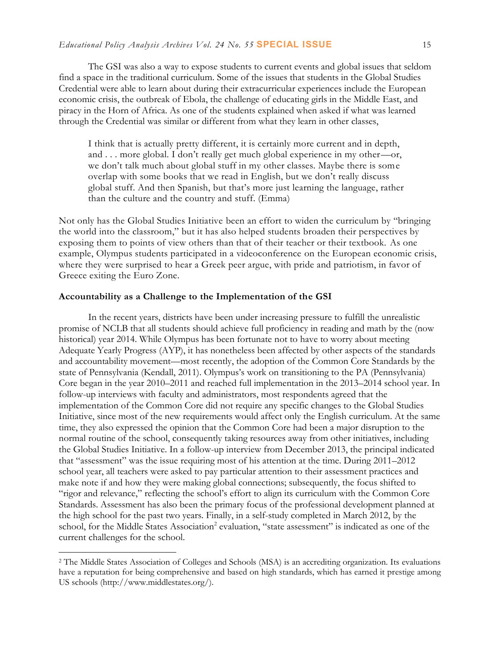The GSI was also a way to expose students to current events and global issues that seldom find a space in the traditional curriculum. Some of the issues that students in the Global Studies Credential were able to learn about during their extracurricular experiences include the European economic crisis, the outbreak of Ebola, the challenge of educating girls in the Middle East, and piracy in the Horn of Africa. As one of the students explained when asked if what was learned through the Credential was similar or different from what they learn in other classes,

I think that is actually pretty different, it is certainly more current and in depth, and . . . more global. I don't really get much global experience in my other—or, we don't talk much about global stuff in my other classes. Maybe there is some overlap with some books that we read in English, but we don't really discuss global stuff. And then Spanish, but that's more just learning the language, rather than the culture and the country and stuff. (Emma)

Not only has the Global Studies Initiative been an effort to widen the curriculum by "bringing the world into the classroom," but it has also helped students broaden their perspectives by exposing them to points of view others than that of their teacher or their textbook. As one example, Olympus students participated in a videoconference on the European economic crisis, where they were surprised to hear a Greek peer argue, with pride and patriotism, in favor of Greece exiting the Euro Zone.

#### **Accountability as a Challenge to the Implementation of the GSI**

 $\overline{a}$ 

In the recent years, districts have been under increasing pressure to fulfill the unrealistic promise of NCLB that all students should achieve full proficiency in reading and math by the (now historical) year 2014. While Olympus has been fortunate not to have to worry about meeting Adequate Yearly Progress (AYP), it has nonetheless been affected by other aspects of the standards and accountability movement—most recently, the adoption of the Common Core Standards by the state of Pennsylvania (Kendall, 2011). Olympus's work on transitioning to the PA (Pennsylvania) Core began in the year 2010–2011 and reached full implementation in the 2013–2014 school year. In follow-up interviews with faculty and administrators, most respondents agreed that the implementation of the Common Core did not require any specific changes to the Global Studies Initiative, since most of the new requirements would affect only the English curriculum. At the same time, they also expressed the opinion that the Common Core had been a major disruption to the normal routine of the school, consequently taking resources away from other initiatives, including the Global Studies Initiative. In a follow-up interview from December 2013, the principal indicated that "assessment" was the issue requiring most of his attention at the time. During 2011–2012 school year, all teachers were asked to pay particular attention to their assessment practices and make note if and how they were making global connections; subsequently, the focus shifted to "rigor and relevance," reflecting the school's effort to align its curriculum with the Common Core Standards. Assessment has also been the primary focus of the professional development planned at the high school for the past two years. Finally, in a self-study completed in March 2012, by the school, for the Middle States Association<sup>2</sup> evaluation, "state assessment" is indicated as one of the current challenges for the school.

<sup>2</sup> The Middle States Association of Colleges and Schools (MSA) is an accrediting organization. Its evaluations have a reputation for being comprehensive and based on high standards, which has earned it prestige among US schools (http://www.middlestates.org/).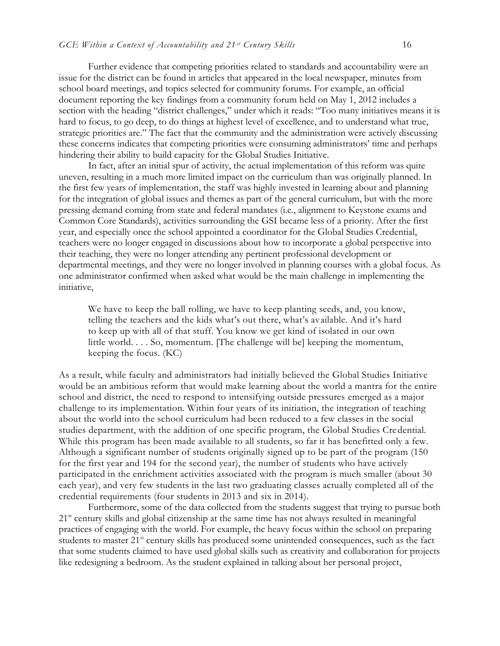Further evidence that competing priorities related to standards and accountability were an issue for the district can be found in articles that appeared in the local newspaper, minutes from school board meetings, and topics selected for community forums. For example, an official document reporting the key findings from a community forum held on May 1, 2012 includes a section with the heading "district challenges," under which it reads: "Too many initiatives means it is hard to focus, to go deep, to do things at highest level of excellence, and to understand what true, strategic priorities are." The fact that the community and the administration were actively discussing these concerns indicates that competing priorities were consuming administrators' time and perhaps hindering their ability to build capacity for the Global Studies Initiative.

In fact, after an initial spur of activity, the actual implementation of this reform was quite uneven, resulting in a much more limited impact on the curriculum than was originally planned. In the first few years of implementation, the staff was highly invested in learning about and planning for the integration of global issues and themes as part of the general curriculum, but with the more pressing demand coming from state and federal mandates (i.e., alignment to Keystone exams and Common Core Standards), activities surrounding the GSI became less of a priority. After the first year, and especially once the school appointed a coordinator for the Global Studies Credential, teachers were no longer engaged in discussions about how to incorporate a global perspective into their teaching, they were no longer attending any pertinent professional development or departmental meetings, and they were no longer involved in planning courses with a global focus. As one administrator confirmed when asked what would be the main challenge in implementing the initiative,

We have to keep the ball rolling, we have to keep planting seeds, and, you know, telling the teachers and the kids what's out there, what's available. And it's hard to keep up with all of that stuff. You know we get kind of isolated in our own little world. . . . So, momentum. [The challenge will be] keeping the momentum, keeping the focus. (KC)

As a result, while faculty and administrators had initially believed the Global Studies Initiative would be an ambitious reform that would make learning about the world a mantra for the entire school and district, the need to respond to intensifying outside pressures emerged as a major challenge to its implementation. Within four years of its initiation, the integration of teaching about the world into the school curriculum had been reduced to a few classes in the social studies department, with the addition of one specific program, the Global Studies Credential. While this program has been made available to all students, so far it has benefitted only a few. Although a significant number of students originally signed up to be part of the program (150 for the first year and 194 for the second year), the number of students who have actively participated in the enrichment activities associated with the program is much smaller (about 30 each year), and very few students in the last two graduating classes actually completed all of the credential requirements (four students in 2013 and six in 2014).

Furthermore, some of the data collected from the students suggest that trying to pursue both 21<sup>st</sup> century skills and global citizenship at the same time has not always resulted in meaningful practices of engaging with the world. For example, the heavy focus within the school on preparing students to master 21<sup>st</sup> century skills has produced some unintended consequences, such as the fact that some students claimed to have used global skills such as creativity and collaboration for projects like redesigning a bedroom. As the student explained in talking about her personal project,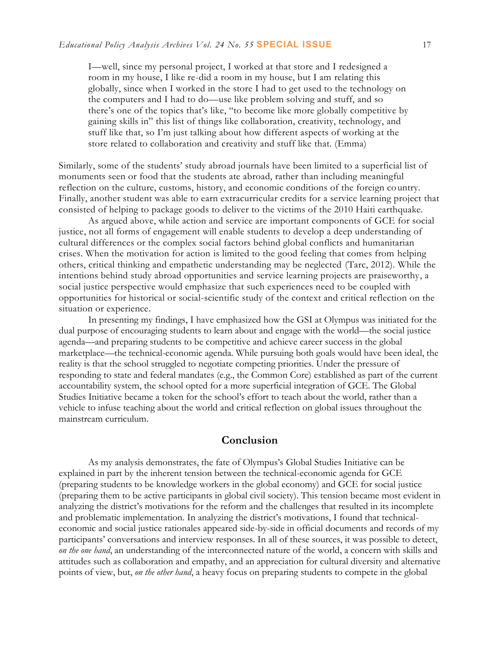I—well, since my personal project, I worked at that store and I redesigned a room in my house, I like re-did a room in my house, but I am relating this globally, since when I worked in the store I had to get used to the technology on the computers and I had to do—use like problem solving and stuff, and so there's one of the topics that's like, "to become like more globally competitive by gaining skills in" this list of things like collaboration, creativity, technology, and stuff like that, so I'm just talking about how different aspects of working at the store related to collaboration and creativity and stuff like that. (Emma)

Similarly, some of the students' study abroad journals have been limited to a superficial list of monuments seen or food that the students ate abroad, rather than including meaningful reflection on the culture, customs, history, and economic conditions of the foreign country. Finally, another student was able to earn extracurricular credits for a service learning project that consisted of helping to package goods to deliver to the victims of the 2010 Haiti earthquake.

As argued above, while action and service are important components of GCE for social justice, not all forms of engagement will enable students to develop a deep understanding of cultural differences or the complex social factors behind global conflicts and humanitarian crises. When the motivation for action is limited to the good feeling that comes from helping others, critical thinking and empathetic understanding may be neglected (Tarc, 2012). While the intentions behind study abroad opportunities and service learning projects are praiseworthy, a social justice perspective would emphasize that such experiences need to be coupled with opportunities for historical or social-scientific study of the context and critical reflection on the situation or experience.

In presenting my findings, I have emphasized how the GSI at Olympus was initiated for the dual purpose of encouraging students to learn about and engage with the world—the social justice agenda—and preparing students to be competitive and achieve career success in the global marketplace—the technical-economic agenda. While pursuing both goals would have been ideal, the reality is that the school struggled to negotiate competing priorities. Under the pressure of responding to state and federal mandates (e.g., the Common Core) established as part of the current accountability system, the school opted for a more superficial integration of GCE. The Global Studies Initiative became a token for the school's effort to teach about the world, rather than a vehicle to infuse teaching about the world and critical reflection on global issues throughout the mainstream curriculum.

## **Conclusion**

As my analysis demonstrates, the fate of Olympus's Global Studies Initiative can be explained in part by the inherent tension between the technical-economic agenda for GCE (preparing students to be knowledge workers in the global economy) and GCE for social justice (preparing them to be active participants in global civil society). This tension became most evident in analyzing the district's motivations for the reform and the challenges that resulted in its incomplete and problematic implementation. In analyzing the district's motivations, I found that technicaleconomic and social justice rationales appeared side-by-side in official documents and records of my participants' conversations and interview responses. In all of these sources, it was possible to detect, *on the one hand*, an understanding of the interconnected nature of the world, a concern with skills and attitudes such as collaboration and empathy, and an appreciation for cultural diversity and alternative points of view, but, *on the other hand*, a heavy focus on preparing students to compete in the global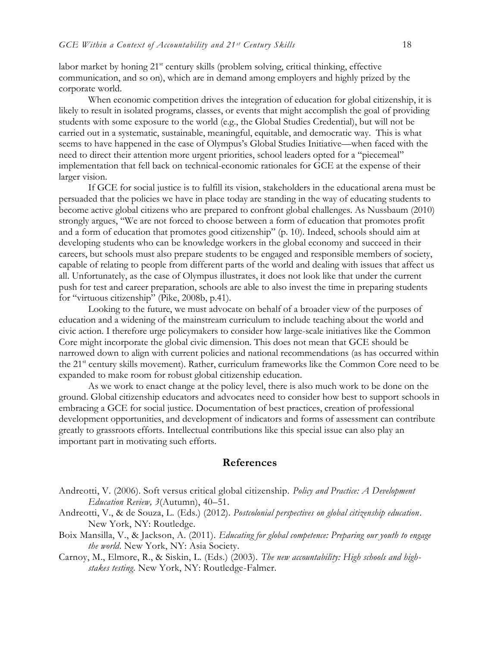labor market by honing 21<sup>st</sup> century skills (problem solving, critical thinking, effective communication, and so on), which are in demand among employers and highly prized by the corporate world.

When economic competition drives the integration of education for global citizenship, it is likely to result in isolated programs, classes, or events that might accomplish the goal of providing students with some exposure to the world (e.g., the Global Studies Credential), but will not be carried out in a systematic, sustainable, meaningful, equitable, and democratic way. This is what seems to have happened in the case of Olympus's Global Studies Initiative—when faced with the need to direct their attention more urgent priorities, school leaders opted for a "piecemeal" implementation that fell back on technical-economic rationales for GCE at the expense of their larger vision.

If GCE for social justice is to fulfill its vision, stakeholders in the educational arena must be persuaded that the policies we have in place today are standing in the way of educating students to become active global citizens who are prepared to confront global challenges. As Nussbaum (2010) strongly argues, "We are not forced to choose between a form of education that promotes profit and a form of education that promotes good citizenship" (p. 10). Indeed, schools should aim at developing students who can be knowledge workers in the global economy and succeed in their careers, but schools must also prepare students to be engaged and responsible members of society, capable of relating to people from different parts of the world and dealing with issues that affect us all. Unfortunately, as the case of Olympus illustrates, it does not look like that under the current push for test and career preparation, schools are able to also invest the time in preparing students for "virtuous citizenship" (Pike, 2008b, p.41).

Looking to the future, we must advocate on behalf of a broader view of the purposes of education and a widening of the mainstream curriculum to include teaching about the world and civic action. I therefore urge policymakers to consider how large-scale initiatives like the Common Core might incorporate the global civic dimension. This does not mean that GCE should be narrowed down to align with current policies and national recommendations (as has occurred within the 21<sup>st</sup> century skills movement). Rather, curriculum frameworks like the Common Core need to be expanded to make room for robust global citizenship education.

As we work to enact change at the policy level, there is also much work to be done on the ground. Global citizenship educators and advocates need to consider how best to support schools in embracing a GCE for social justice. Documentation of best practices, creation of professional development opportunities, and development of indicators and forms of assessment can contribute greatly to grassroots efforts. Intellectual contributions like this special issue can also play an important part in motivating such efforts.

#### **References**

- Andreotti, V., & de Souza, L. (Eds.) (2012). *Postcolonial perspectives on global citizenship education*. New York, NY: Routledge.
- Boix Mansilla, V., & Jackson, A. (2011). *Educating for global competence: Preparing our youth to engage the world*. New York, NY: Asia Society.
- Carnoy, M., Elmore, R., & Siskin, L. (Eds.) (2003). *The new accountability: High schools and highstakes testing*. New York, NY: Routledge-Falmer.

Andreotti, V. (2006). Soft versus critical global citizenship. *Policy and Practice: A Development Education Review, 3*(Autumn), 40–51.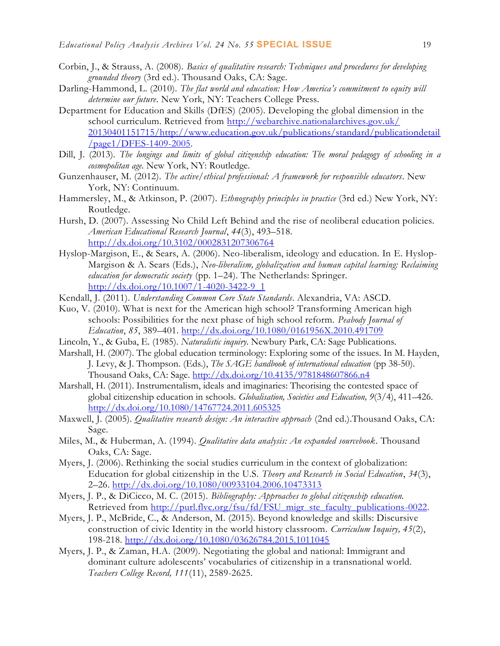- Corbin, J., & Strauss, A. (2008). *Basics of qualitative research: Techniques and procedures for developing grounded theory* (3rd ed.). Thousand Oaks, CA: Sage.
- Darling-Hammond, L. (2010). *The flat world and education: How America's commitment to equity will determine our future*. New York, NY: Teachers College Press.
- Department for Education and Skills (DfES) (2005). Developing the global dimension in the school curriculum. Retrieved from [http://webarchive.nationalarchives.gov.uk/](http://webarchive.nationalarchives.gov.uk/20130401151715/http:/www.education.gov.uk/publications/standard/publicationdetail/page1/DFES-1409-2005) [20130401151715/http://www.education.gov.uk/publications/standard/publicationdetail](http://webarchive.nationalarchives.gov.uk/20130401151715/http:/www.education.gov.uk/publications/standard/publicationdetail/page1/DFES-1409-2005) [/page1/DFES-1409-2005.](http://webarchive.nationalarchives.gov.uk/20130401151715/http:/www.education.gov.uk/publications/standard/publicationdetail/page1/DFES-1409-2005)
- Dill, J. (2013). *The longings and limits of global citizenship education: The moral pedagogy of schooling in a cosmopolitan age*. New York, NY: Routledge.
- Gunzenhauser, M. (2012). *The active/ethical professional: A framework for responsible educators*. New York, NY: Continuum.
- Hammersley, M., & Atkinson, P. (2007). *Ethnography principles in practice* (3rd ed.) New York, NY: Routledge.
- Hursh, D. (2007). Assessing No Child Left Behind and the rise of neoliberal education policies. *American Educational Research Journal*, *44*(3), 493–518. <http://dx.doi.org/10.3102/0002831207306764>
- Hyslop-Margison, E., & Sears, A. (2006). Neo-liberalism, ideology and education. In E. Hyslop-Margison & A. Sears (Eds.), *Neo-liberalism, globalization and human capital learning: Reclaiming education for democratic society* (pp. 1–24). The Netherlands: Springer. [http://dx.doi.org/10.1007/1-4020-3422-9\\_1](http://dx.doi.org/10.1007/1-4020-3422-9_1)
- Kendall, J. (2011). *Understanding Common Core State Standards*. Alexandria, VA: ASCD.
- Kuo, V. (2010). What is next for the American high school? Transforming American high schools: Possibilities for the next phase of high school reform. *Peabody Journal of Education*, *85*, 389–401. <http://dx.doi.org/10.1080/0161956X.2010.491709>
- Lincoln, Y., & Guba, E. (1985). *Naturalistic inquiry*. Newbury Park, CA: Sage Publications.
- Marshall, H. (2007). The global education terminology: Exploring some of the issues. In M. Hayden, J. Levy, & J. Thompson. (Eds.), *The SAGE handbook of international education* (pp 38-50). Thousand Oaks, CA: Sage. <http://dx.doi.org/10.4135/9781848607866.n4>
- Marshall, H. (2011). Instrumentalism, ideals and imaginaries: Theorising the contested space of global citizenship education in schools. *Globalisation, Societies and Education, 9*(3/4), 411–426. <http://dx.doi.org/10.1080/14767724.2011.605325>
- Maxwell, J. (2005). *Qualitative research design: An interactive approach* (2nd ed.).Thousand Oaks, CA: Sage.
- Miles, M., & Huberman, A. (1994). *Qualitative data analysis: An expanded sourcebook*. Thousand Oaks, CA: Sage.
- Myers, J. (2006). Rethinking the social studies curriculum in the context of globalization: Education for global citizenship in the U.S. *Theory and Research in Social Education*, *34*(3), 2–26. <http://dx.doi.org/10.1080/00933104.2006.10473313>
- Myers, J. P., & DiCicco, M. C. (2015). *Bibliography: Approaches to global citizenship education.*  Retrieved from [http://purl.flvc.org/fsu/fd/FSU\\_migr\\_ste\\_faculty\\_publications-0022.](http://purl.flvc.org/fsu/fd/FSU_migr_ste_faculty_publications-0022)
- Myers, J. P., McBride, C., & Anderson, M. (2015). Beyond knowledge and skills: Discursive construction of civic Identity in the world history classroom. *Curriculum Inquiry, 45*(2), 198-218.<http://dx.doi.org/10.1080/03626784.2015.1011045>
- Myers, J. P., & Zaman, H.A. (2009). Negotiating the global and national: Immigrant and dominant culture adolescents' vocabularies of citizenship in a transnational world. *Teachers College Record, 111*(11), 2589-2625.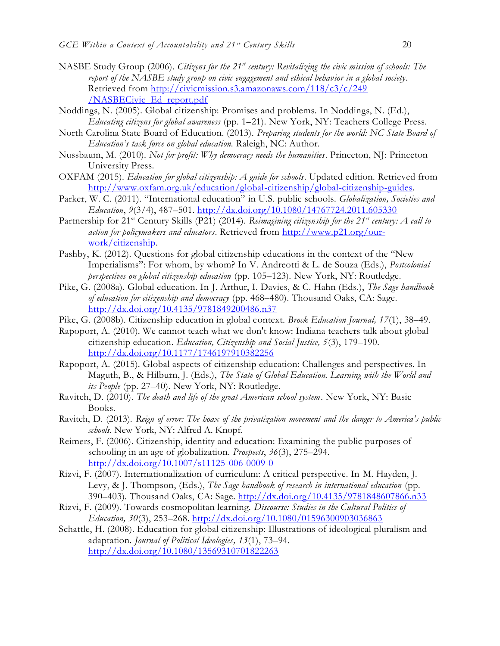- NASBE Study Group (2006). *Citizens for the 21st century: Revitalizing the civic mission of schools: The report of the NASBE study group on civic engagement and ethical behavior in a global society*. Retrieved from http://civicmission.s3.amazonaws.com/118/c3/c/249 [/NASBECivic\\_Ed\\_report.pdf](http://civicmission.s3.amazonaws.com/118/c3/c/249%20/NASBECivic_Ed_report.pdf)
- Noddings, N. (2005). Global citizenship: Promises and problems. In Noddings, N. (Ed.), *Educating citizens for global awareness* (pp. 1–21). New York, NY: Teachers College Press.
- North Carolina State Board of Education. (2013). *Preparing students for the world: NC State Board of Education's task force on global education.* Raleigh, NC: Author.
- Nussbaum, M. (2010). *Not for profit: Why democracy needs the humanities*. Princeton, NJ: Princeton University Press.
- OXFAM (2015). *Education for global citizenship: A guide for schools*. Updated edition. Retrieved from [http://www.oxfam.org.uk/education/global-citizenship/global-citizenship-guides.](http://www.oxfam.org.uk/education/global-citizenship/global-citizenship-guides)
- Parker, W. C. (2011). "International education" in U.S. public schools*. Globalization, Societies and Education*, *9*(3/4), 487–501. <http://dx.doi.org/10.1080/14767724.2011.605330>
- Partnership for 21<sup>st</sup> Century Skills (P21) (2014). *Reimagining citizenship for the 21<sup>st</sup> century: A call to action for policymakers and educators*. Retrieved from [http://www.p21.org/our](http://www.p21.org/our-work/citizenship)[work/citizenship.](http://www.p21.org/our-work/citizenship)
- Pashby, K. (2012). Questions for global citizenship educations in the context of the "New Imperialisms": For whom, by whom? In V. Andreotti & L. de Souza (Eds.), *Postcolonial perspectives on global citizenship education* (pp. 105–123). New York, NY: Routledge.
- Pike, G. (2008a). Global education. In J. Arthur, I. Davies, & C. Hahn (Eds.), *The Sage handbook of education for citizenship and democracy* (pp. 468–480). Thousand Oaks, CA: Sage. <http://dx.doi.org/10.4135/9781849200486.n37>
- Pike, G. (2008b). Citizenship education in global context. *Brock Education Journal, 17*(1), 38–49.
- Rapoport, A. (2010). We cannot teach what we don't know: Indiana teachers talk about global citizenship education. *Education, Citizenship and Social Justice, 5*(3), 179–190. <http://dx.doi.org/10.1177/1746197910382256>
- Rapoport, A. (2015). Global aspects of citizenship education: Challenges and perspectives. In Maguth, B., & Hilburn, J. (Eds.), *The State of Global Education. Learning with the World and its People* (pp. 27–40). New York, NY: Routledge.
- Ravitch, D. (2010). *The death and life of the great American school system*. New York, NY: Basic Books.
- Ravitch, D. (2013). *Reign of error: The hoax of the privatization movement and the danger to America's public schools*. New York, NY: Alfred A. Knopf.
- Reimers, F. (2006). Citizenship, identity and education: Examining the public purposes of schooling in an age of globalization. *Prospects*, *36*(3), 275–294. <http://dx.doi.org/10.1007/s11125-006-0009-0>
- Rizvi, F. (2007). Internationalization of curriculum: A critical perspective. In M. Hayden, J. Levy, & J. Thompson, (Eds.), *The Sage handbook of research in international education* (pp. 390–403). Thousand Oaks, CA: Sage. <http://dx.doi.org/10.4135/9781848607866.n33>
- Rizvi, F. (2009). Towards cosmopolitan learning. *Discourse: Studies in the Cultural Politics of Education, 30*(3), 253–268. <http://dx.doi.org/10.1080/01596300903036863>
- Schattle, H. (2008). Education for global citizenship: Illustrations of ideological pluralism and adaptation. *Journal of Political Ideologies, 13*(1), 73–94. <http://dx.doi.org/10.1080/13569310701822263>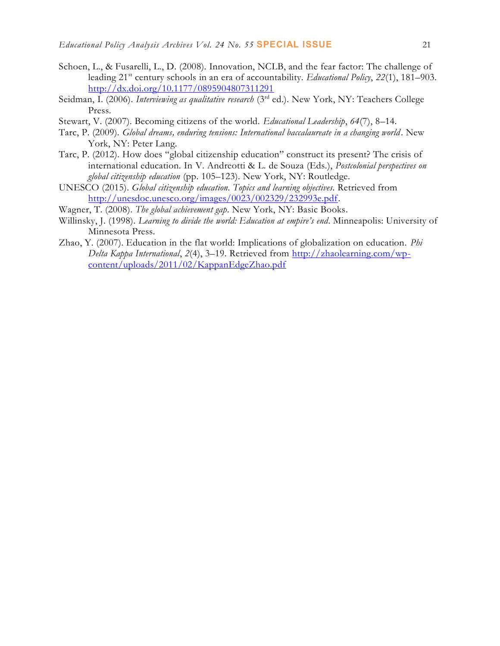- Schoen, L., & Fusarelli, L., D. (2008). Innovation, NCLB, and the fear factor: The challenge of leading 21st century schools in an era of accountability. *Educational Policy*, *22*(1), 181–903. <http://dx.doi.org/10.1177/0895904807311291>
- Seidman, I. (2006). *Interviewing as qualitative research* (3<sup>rd</sup> ed.). New York, NY: Teachers College Press.
- Stewart, V. (2007). Becoming citizens of the world. *Educational Leadership*, *64*(7), 8–14.
- Tarc, P. (2009). *Global dreams, enduring tensions: International baccalaureate in a changing world*. New York, NY: Peter Lang.
- Tarc, P. (2012). How does "global citizenship education" construct its present? The crisis of international education. In V. Andreotti & L. de Souza (Eds.), *Postcolonial perspectives on global citizenship education* (pp. 105–123). New York, NY: Routledge.
- UNESCO (2015). *Global citizenship education. Topics and learning objectives*. Retrieved from [http://unesdoc.unesco.org/images/0023/002329/232993e.pdf.](http://unesdoc.unesco.org/images/0023/002329/232993e.pdf)
- Wagner, T. (2008). *The global achievement gap*. New York, NY: Basic Books.
- Willinsky, J. (1998). *Learning to divide the world: Education at empire's end*. Minneapolis: University of Minnesota Press.
- Zhao, Y. (2007). Education in the flat world: Implications of globalization on education. *Phi Delta Kappa International*, *2*(4), 3–19. Retrieved from [http://zhaolearning.com/wp](http://zhaolearning.com/wp-content/uploads/2011/02/KappanEdgeZhao.pdf)[content/uploads/2011/02/KappanEdgeZhao.pdf](http://zhaolearning.com/wp-content/uploads/2011/02/KappanEdgeZhao.pdf)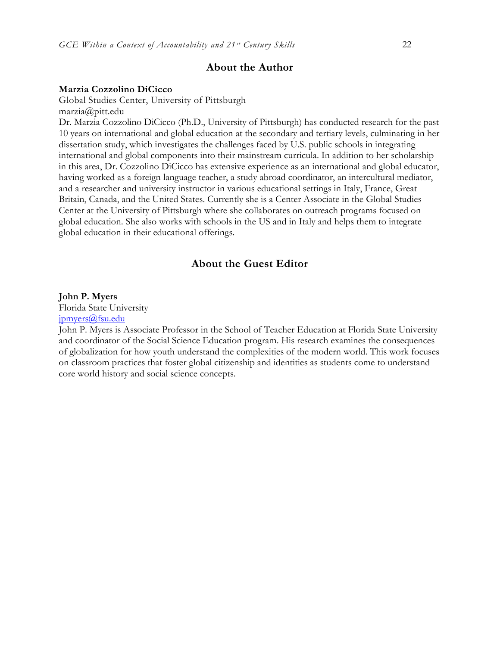## **About the Author**

#### **Marzia Cozzolino DiCicco**

Global Studies Center, University of Pittsburgh marzia@pitt.edu

Dr. Marzia Cozzolino DiCicco (Ph.D., University of Pittsburgh) has conducted research for the past 10 years on international and global education at the secondary and tertiary levels, culminating in her dissertation study, which investigates the challenges faced by U.S. public schools in integrating international and global components into their mainstream curricula. In addition to her scholarship in this area, Dr. Cozzolino DiCicco has extensive experience as an international and global educator, having worked as a foreign language teacher, a study abroad coordinator, an intercultural mediator, and a researcher and university instructor in various educational settings in Italy, France, Great Britain, Canada, and the United States. Currently she is a Center Associate in the Global Studies Center at the University of Pittsburgh where she collaborates on outreach programs focused on global education. She also works with schools in the US and in Italy and helps them to integrate global education in their educational offerings.

## **About the Guest Editor**

#### **John P. Myers**

Florida State University [jpmyers@fsu.edu](mailto:jpmyers@fsu.edu)

John P. Myers is Associate Professor in the School of Teacher Education at Florida State University and coordinator of the Social Science Education program. His research examines the consequences of globalization for how youth understand the complexities of the modern world. This work focuses on classroom practices that foster global citizenship and identities as students come to understand core world history and social science concepts.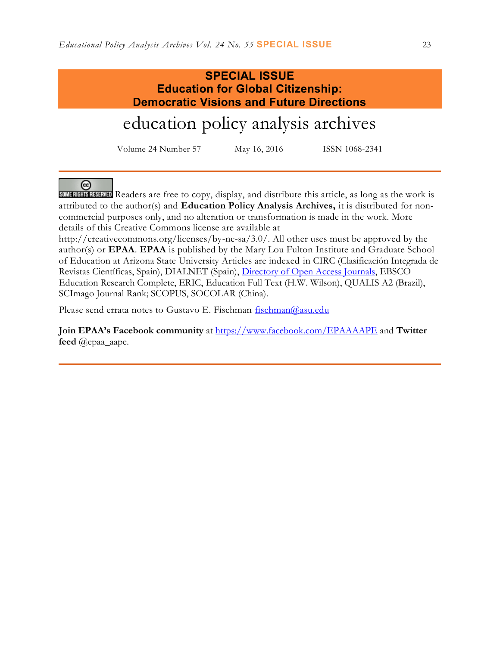## **SPECIAL ISSUE Education for Global Citizenship: Democratic Visions and Future Directions**

# education policy analysis archives

Volume 24 Number 57 May 16, 2016 ISSN 1068-2341

ര

SOME RIGHTS RESERVED Readers are free to copy, display, and distribute this article, as long as the work is attributed to the author(s) and **Education Policy Analysis Archives,** it is distributed for noncommercial purposes only, and no alteration or transformation is made in the work. More details of this Creative Commons license are available at

http://creativecommons.org/licenses/by-nc-sa/3.0/. All other uses must be approved by the author(s) or **EPAA**. **EPAA** is published by the Mary Lou Fulton Institute and Graduate School of Education at Arizona State University Articles are indexed in CIRC (Clasificación Integrada de Revistas Científicas, Spain), DIALNET (Spain), [Directory of Open Access Journals,](http://www.doaj.org/) EBSCO Education Research Complete, ERIC, Education Full Text (H.W. Wilson), QUALIS A2 (Brazil), SCImago Journal Rank; SCOPUS, SOCOLAR (China).

Please send errata notes to Gustavo E. Fischman  $f$ ischman $@$ asu.edu

**Join EPAA's Facebook community** at<https://www.facebook.com/EPAAAAPE> and **Twitter feed** @epaa\_aape.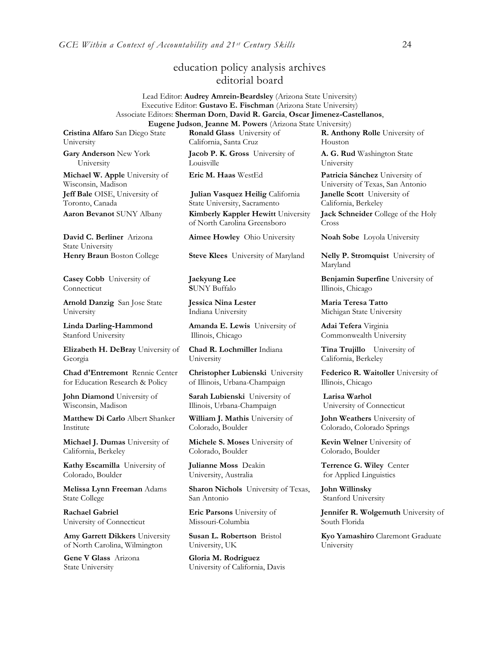## education policy analysis archives editorial board

#### Lead Editor: **Audrey Amrein-Beardsley** (Arizona State University) Executive Editor: **Gustavo E. Fischman** (Arizona State University) Associate Editors: **Sherman Dorn**, **David R. Garcia**, **Oscar Jimenez-Castellanos**, **Eugene Judson**, **Jeanne M. Powers** (Arizona State University)

**Cristina Alfaro** San Diego State University

**Gary Anderson** New York University

**Michael W. Apple** University of Wisconsin, Madison **Jeff Bale** OISE, University of Toronto, Canada

**David C. Berliner** Arizona State University

**Casey Cobb** University of Connecticut

**Arnold Danzig** San Jose State University

**Linda Darling-Hammond**  Stanford University

**Elizabeth H. DeBray** University of Georgia

**Chad d'Entremont** Rennie Center for Education Research & Policy

**John Diamond** University of Wisconsin, Madison

**Matthew Di Carlo** Albert Shanker Institute

**Michael J. Dumas** University of California, Berkeley

**Kathy Escamilla** University of Colorado, Boulder

**Melissa Lynn Freeman** Adams State College

**Rachael Gabriel** University of Connecticut

**Amy Garrett Dikkers** University of North Carolina, Wilmington

**Gene V Glass** Arizona State University

**Ronald Glass** University of California, Santa Cruz

**Jacob P. K. Gross** University of Louisville

**Julian Vasquez Heilig** California State University, Sacramento **Aaron Bevanot** SUNY Albany **Kimberly Kappler Hewitt** University of North Carolina Greensboro

**Jaekyung Lee S**UNY Buffalo

**Jessica Nina Lester** Indiana University

**Amanda E. Lewis** University of Illinois, Chicago

**Chad R. Lochmiller** Indiana University

**Christopher Lubienski** University of Illinois, Urbana-Champaign

**Sarah Lubienski** University of Illinois, Urbana-Champaign

**William J. Mathis** University of Colorado, Boulder

**Michele S. Moses** University of Colorado, Boulder

**Julianne Moss** Deakin University, Australia

**Sharon Nichols** University of Texas, San Antonio

**Eric Parsons** University of Missouri-Columbia

**Susan L. Robertson** Bristol University, UK

**Gloria M. Rodriguez** University of California, Davis

**R. Anthony Rolle** University of Houston

**A. G. Rud** Washington State University

**Eric M. Haas** WestEd **Patricia Sánchez** University of University of Texas, San Antonio **Janelle Scott** University of California, Berkeley **Jack Schneider** College of the Holy Cross

**Aimee Howley** Ohio University **Noah Sobe** Loyola University

**Henry Braun** Boston College **Steve Klees** University of Maryland **Nelly P. Stromquist** University of Maryland

> **Benjamin Superfine** University of Illinois, Chicago

**Maria Teresa Tatto**  Michigan State University

**Adai Tefera** Virginia Commonwealth University

**Tina Trujillo** University of California, Berkeley

**Federico R. Waitoller** University of Illinois, Chicago

**Larisa Warhol** University of Connecticut

**John Weathers** University of Colorado, Colorado Springs

**Kevin Welner** University of Colorado, Boulder

**Terrence G. Wiley** Center for Applied Linguistics

**John Willinsky**  Stanford University

**Jennifer R. Wolgemuth** University of South Florida

**Kyo Yamashiro** Claremont Graduate University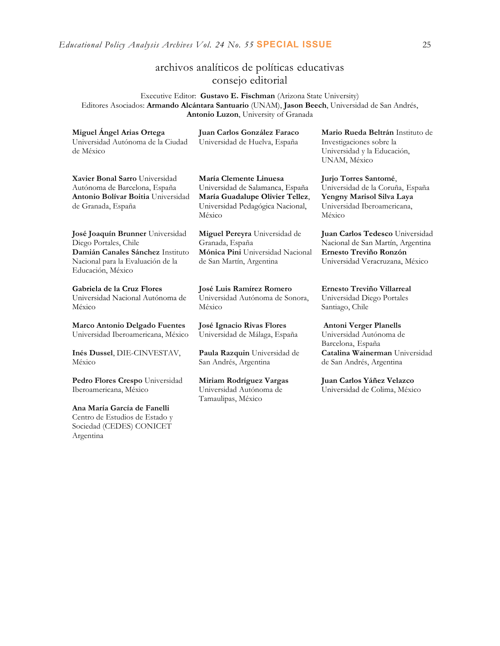## archivos analíticos de políticas educativas consejo editorial

Executive Editor: **Gustavo E. Fischman** (Arizona State University) Editores Asociados: **Armando Alcántara Santuario** (UNAM), **Jason Beech**, Universidad de San Andrés, **Antonio Luzon**, University of Granada

| Miguel Angel Arias Ortega<br>Universidad Autónoma de la Ciudad<br>de México                                                                             | Juan Carlos González Faraco<br>Universidad de Huelva, España                                                                                | Mario Rueda Beltrán Instituto de<br>Investigaciones sobre la<br>Universidad y la Educación,<br>UNAM, México                       |
|---------------------------------------------------------------------------------------------------------------------------------------------------------|---------------------------------------------------------------------------------------------------------------------------------------------|-----------------------------------------------------------------------------------------------------------------------------------|
| Xavier Bonal Sarro Universidad<br>Autónoma de Barcelona, España<br>Antonio Bolívar Boitia Universidad<br>de Granada, España                             | María Clemente Linuesa<br>Universidad de Salamanca, España<br>María Guadalupe Olivier Tellez,<br>Universidad Pedagógica Nacional,<br>México | Jurjo Torres Santomé,<br>Universidad de la Coruña, España<br>Yengny Marisol Silva Laya<br>Universidad Iberoamericana,<br>México   |
| José Joaquín Brunner Universidad<br>Diego Portales, Chile<br>Damián Canales Sánchez Instituto<br>Nacional para la Evaluación de la<br>Educación, México | Miguel Pereyra Universidad de<br>Granada, España<br>Mónica Pini Universidad Nacional<br>de San Martín, Argentina                            | Juan Carlos Tedesco Universidad<br>Nacional de San Martín, Argentina<br>Ernesto Treviño Ronzón<br>Universidad Veracruzana, México |
| Gabriela de la Cruz Flores<br>Universidad Nacional Autónoma de<br>México                                                                                | José Luis Ramírez Romero<br>Universidad Autónoma de Sonora,<br>México                                                                       | Ernesto Treviño Villarreal<br>Universidad Diego Portales<br>Santiago, Chile                                                       |
| Marco Antonio Delgado Fuentes<br>Universidad Iberoamericana, México<br>Inés Dussel, DIE-CINVESTAV,                                                      | José Ignacio Rivas Flores<br>Universidad de Málaga, España<br><b>Paula Razquin</b> Universidad de                                           | <b>Antoni Verger Planells</b><br>Universidad Autónoma de<br>Barcelona, España<br>Catalina Wainerman Universidad                   |
| México                                                                                                                                                  | San Andrés, Argentina                                                                                                                       | de San Andrés, Argentina                                                                                                          |
| Pedro Flores Crespo Universidad<br>Iberoamericana, México                                                                                               | Miriam Rodríguez Vargas<br>Universidad Autónoma de                                                                                          | Juan Carlos Yáñez Velazco<br>Universidad de Colima, México                                                                        |
|                                                                                                                                                         | Tamaulipas, México                                                                                                                          |                                                                                                                                   |